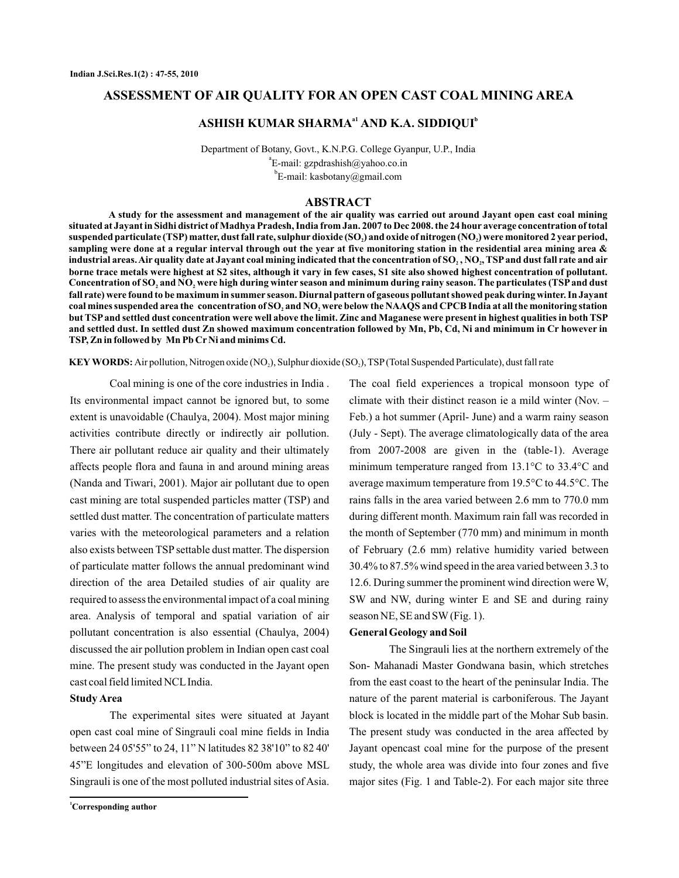# **ASSESSMENT OF AIR QUALITY FOR AN OPEN CAST COAL MINING AREA**

# $A$ **SHISH KUMAR SHARMA<sup>a1</sup> AND K.A. SIDDIQUI**<sup>b</sup>

Department of Botany, Govt., K.N.P.G. College Gyanpur, U.P., India  $\text{^aE-mail: }$  gzpdrashish@yahoo.co.in  $^{\rm b}$ E-mail: kasbotany@gmail.com

### **ABSTRACT**

**A study for the assessment and management of the air quality was carried out around Jayant open cast coal mining situated at Jayant in Sidhi district ofMadhya Pradesh, India from Jan. 2007 to Dec 2008. the 24 hour average concentration of total** suspended particulate (TSP) matter, dust fall rate, sulphur dioxide (SO<sub>2</sub>) and oxide of nitrogen (NO<sub>2</sub>) were monitored 2 year period, **sampling were done at a regular interval through out the year at five monitoring station in the residential area mining area &** industrial areas. Air quality date at Jayant coal mining indicated that the concentration of  ${\rm SO}_2, {\rm NO}_2, {\rm TSP}$  and dust fall rate and air **borne trace metals were highest at S2 sites, although it vary in few cases, S1 site also showed highest concentration of pollutant.** Concentration of SO<sub>2</sub> and NO<sub>2</sub> were high during winter season and minimum during rainy season. The particulates (TSP and dust **fall rate) were found to be maximum in summer season. Diurnal pattern of gaseous pollutant showed peak during winter. In Jayant** coal mines suspended area the  $\,$  concentration of SO $_2$  and NO $_2$  were below the NAAQS and CPCB India at all the monitoring station **but TSP and settled dust concentration were well above the limit. Zinc and Maganese were present in highest qualities in both TSP and settled dust. In settled dust Zn showed maximum concentration followed by Mn, Pb, Cd, Ni and minimum in Cr however in TSP, Zn in followed by Mn Pb Cr Ni and minims Cd.**

**KEY WORDS:** Air pollution, Nitrogen oxide (NO<sub>2</sub>), Sulphur dioxide (SO<sub>2</sub>), TSP (Total Suspended Particulate), dust fall rate

Coal mining is one of the core industries in India . Its environmental impact cannot be ignored but, to some extent is unavoidable (Chaulya, 2004). Most major mining activities contribute directly or indirectly air pollution. There air pollutant reduce air quality and their ultimately affects people flora and fauna in and around mining areas (Nanda and Tiwari, 2001). Major air pollutant due to open cast mining are total suspended particles matter (TSP) and settled dust matter. The concentration of particulate matters varies with the meteorological parameters and a relation also exists between TSP settable dust matter. The dispersion of particulate matter follows the annual predominant wind direction of the area Detailed studies of air quality are required to assess the environmental impact of a coal mining area. Analysis of temporal and spatial variation of air pollutant concentration is also essential (Chaulya, 2004) discussed the air pollution problem in Indian open cast coal mine. The present study was conducted in the Jayant open cast coal field limited NCL India.

#### **Study Area**

The experimental sites were situated at Jayant open cast coal mine of Singrauli coal mine fields in India between 24 05'55" to 24, 11" N latitudes 82 38'10" to 82 40' 45"E longitudes and elevation of 300-500m above MSL Singrauli is one of the most polluted industrial sites of Asia.

**<sup>1</sup>Corresponding author**

The coal field experiences a tropical monsoon type of climate with their distinct reason ie a mild winter (Nov. – Feb.) a hot summer (April- June) and a warm rainy season (July - Sept). The average climatologically data of the area from 2007-2008 are given in the (table-1). Average minimum temperature ranged from 13.1°C to 33.4°C and average maximum temperature from 19.5°C to 44.5°C. The rains falls in the area varied between 2.6 mm to 770.0 mm during different month. Maximum rain fall was recorded in the month of September (770 mm) and minimum in month of February (2.6 mm) relative humidity varied between 30.4% to 87.5% wind speed in the area varied between 3.3 to 12.6. During summer the prominent wind direction were W, SW and NW, during winter E and SE and during rainy season NE, SE and SW (Fig. 1).

#### **General Geology and Soil**

The Singrauli lies at the northern extremely of the Son- Mahanadi Master Gondwana basin, which stretches from the east coast to the heart of the peninsular India. The nature of the parent material is carboniferous. The Jayant block is located in the middle part of the Mohar Sub basin. The present study was conducted in the area affected by Jayant opencast coal mine for the purpose of the present study, the whole area was divide into four zones and five major sites (Fig. 1 and Table-2). For each major site three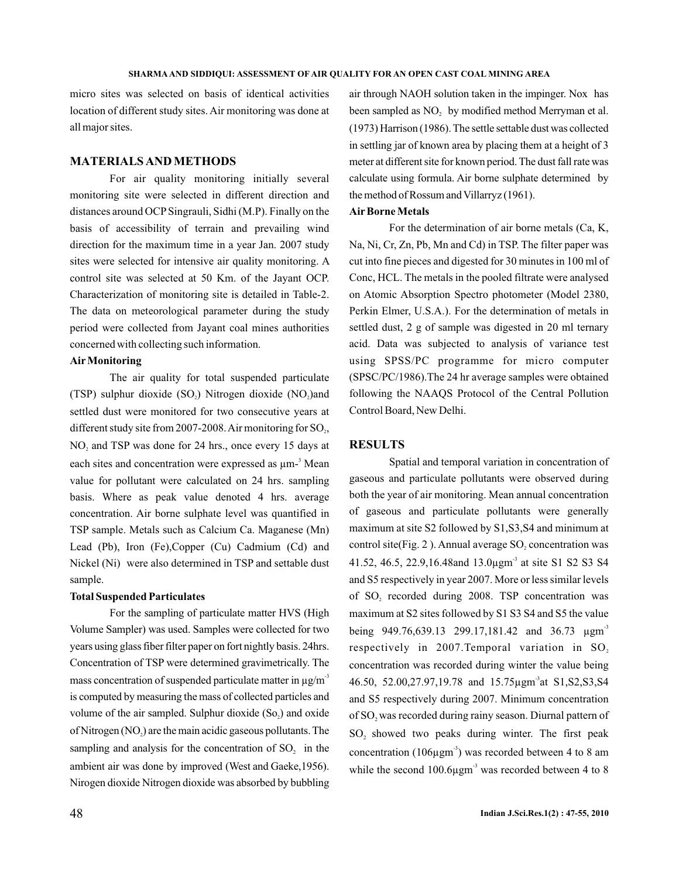micro sites was selected on basis of identical activities location of different study sites. Air monitoring was done at all major sites.

## **MATERIALS ANDMETHODS**

For air quality monitoring initially several monitoring site were selected in different direction and distances around OCP Singrauli, Sidhi (M.P). Finally on the basis of accessibility of terrain and prevailing wind direction for the maximum time in a year Jan. 2007 study sites were selected for intensive air quality monitoring. A control site was selected at 50 Km. of the Jayant OCP. Characterization of monitoring site is detailed in Table-2. The data on meteorological parameter during the study period were collected from Jayant coal mines authorities concerned with collecting such information.

### **AirMonitoring**

The air quality for total suspended particulate (TSP) sulphur dioxide  $(SO<sub>2</sub>)$  Nitrogen dioxide  $(NO<sub>2</sub>)$ and settled dust were monitored for two consecutive years at different study site from 2007-2008. Air monitoring for SO<sub>2</sub>,  $NO<sub>2</sub>$  and TSP was done for 24 hrs., once every 15 days at each sites and concentration were expressed as  $\mu$ m- $\textsuperscript{3}$  Mean value for pollutant were calculated on 24 hrs. sampling basis. Where as peak value denoted 4 hrs. average concentration. Air borne sulphate level was quantified in TSP sample. Metals such as Calcium Ca. Maganese (Mn) Lead (Pb), Iron (Fe),Copper (Cu) Cadmium (Cd) and Nickel (Ni) were also determined in TSP and settable dust sample.

## **Total Suspended Particulates**

For the sampling of particulate matter HVS (High Volume Sampler) was used. Samples were collected for two years using glass fiber filter paper on fort nightly basis. 24hrs. Concentration of TSP were determined gravimetrically. The mass concentration of suspended particulate matter in  $\mu$ g/m<sup>3</sup> is computed by measuring the mass of collected particles and volume of the air sampled. Sulphur dioxide  $(So_2)$  and oxide of Nitrogen  $(NO<sub>2</sub>)$  are the main acidic gaseous pollutants. The sampling and analysis for the concentration of  $SO<sub>2</sub>$  in the ambient air was done by improved (West and Gaeke,1956). Nirogen dioxide Nitrogen dioxide was absorbed by bubbling

air through NAOH solution taken in the impinger. Nox has been sampled as  $NO<sub>2</sub>$  by modified method Merryman et al. (1973) Harrison (1986). The settle settable dust was collected in settling jar of known area by placing them at a height of 3 meter at different site for known period. The dust fall rate was calculate using formula. Air borne sulphate determined by the method of Rossum and Villarryz (1961).

#### **AirBorneMetals**

For the determination of air borne metals (Ca, K, Na, Ni, Cr, Zn, Pb, Mn and Cd) in TSP. The filter paper was cut into fine pieces and digested for 30 minutes in 100 ml of Conc, HCL. The metals in the pooled filtrate were analysed on Atomic Absorption Spectro photometer (Model 2380, Perkin Elmer, U.S.A.). For the determination of metals in settled dust, 2 g of sample was digested in 20 ml ternary acid. Data was subjected to analysis of variance test using SPSS/PC programme for micro computer (SPSC/PC/1986).The 24 hr average samples were obtained following the NAAQS Protocol of the Central Pollution Control Board, New Delhi.

### **RESULTS**

Spatial and temporal variation in concentration of gaseous and particulate pollutants were observed during both the year of air monitoring. Mean annual concentration of gaseous and particulate pollutants were generally maximum at site S2 followed by S1,S3,S4 and minimum at control site(Fig. 2). Annual average  $SO<sub>2</sub>$  concentration was 41.52, 46.5, 22.9,16.48and 13.0µgm<sup>3</sup> at site S1 S2 S3 S4 and S5 respectively in year 2007. More or less similar levels of  $SO_2$  recorded during 2008. TSP concentration was maximum at S2 sites followed by S1 S3 S4 and S5 the value being 949.76,639.13 299.17,181.42 and 36.73  $\mu$ gm<sup>3</sup> respectively in 2007. Temporal variation in SO<sub>2</sub> concentration was recorded during winter the value being 46.50, 52.00,27.97,19.78 and 15.75µgm<sup>3</sup>at S1,S2,S3,S4 and S5 respectively during 2007. Minimum concentration of  $SO_2$  was recorded during rainy season. Diurnal pattern of  $SO<sub>2</sub>$  showed two peaks during winter. The first peak concentration (106 $\mu$ gm<sup>-3</sup>) was recorded between 4 to 8 am while the second  $100.6 \mu \text{gm}^3$  was recorded between 4 to 8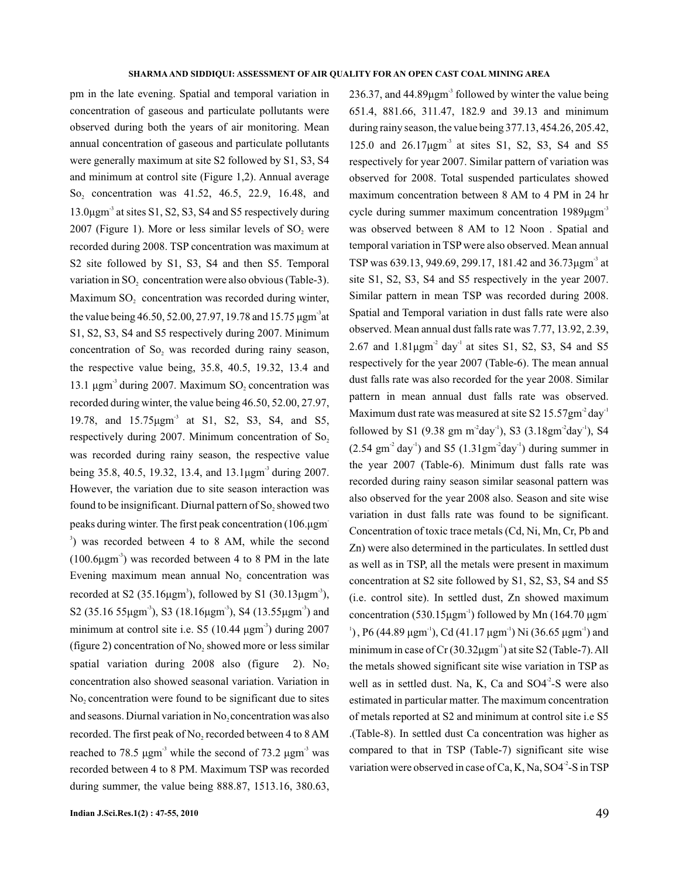pm in the late evening. Spatial and temporal variation in concentration of gaseous and particulate pollutants were observed during both the years of air monitoring. Mean annual concentration of gaseous and particulate pollutants were generally maximum at site S2 followed by S1, S3, S4 and minimum at control site (Figure 1,2). Annual average So<sub>2</sub> concentration was  $41.52, 46.5, 22.9, 16.48, and$  $13.0 \mu$ gm<sup>3</sup> at sites S1, S2, S3, S4 and S5 respectively during 2007 (Figure 1). More or less similar levels of  $SO<sub>2</sub>$  were recorded during 2008. TSP concentration was maximum at S2 site followed by S1, S3, S4 and then S5. Temporal variation in  $SO_2$  concentration were also obvious (Table-3). Maximum  $SO_2$  concentration was recorded during winter, the value being  $46.50, 52.00, 27.97, 19.78$  and  $15.75 \,\mathrm{\upmu gm^3}$  at S1, S2, S3, S4 and S5 respectively during 2007. Minimum concentration of  $So<sub>2</sub>$  was recorded during rainy season, the respective value being, 35.8, 40.5, 19.32, 13.4 and 13.1  $\mu$ gm<sup>-3</sup> during 2007. Maximum SO<sub>2</sub> concentration was recorded during winter, the value being 46.50, 52.00, 27.97, 19.78, and 15.75μgm<sup>3</sup> at S1, S2, S3, S4, and S5, respectively during 2007. Minimum concentration of So<sub>2</sub> was recorded during rainy season, the respective value being 35.8, 40.5, 19.32, 13.4, and  $13.1 \mu \text{gm}^3$  during 2007. However, the variation due to site season interaction was found to be insignificant. Diurnal pattern of  $\mathrm{So}_2$  showed two  $(100.6 \mu \text{gm}^3)$  was recorded between 4 to 8 PM in the late Evening maximum mean annual  $No<sub>2</sub>$  concentration was recorded at S2 (35.16 $\mu$ gm<sup>3</sup>), followed by S1 (30.13 $\mu$ gm<sup>3</sup>), S2 (35.16 55 $\mu$ gm<sup>-3</sup>), S3 (18.16 $\mu$ gm<sup>-3</sup>), S4 (13.55 $\mu$ gm<sup>-3</sup>) and minimum at control site i.e. S5 (10.44 μgm<sup>-3</sup>) during 2007 (figure 2) concentration of  $No<sub>2</sub>$  showed more or less similar spatial variation during 2008 also (figure 2).  $No<sub>2</sub>$ concentration also showed seasonal variation. Variation in  $No_2$  concentration were found to be significant due to sites and seasons. Diurnal variation in  $\rm No_{2}$ concentration was also recorded. The first peak of  $\rm No_{2}$  recorded between 4 to 8 AM reached to 78.5  $\mu$ gm<sup>3</sup> while the second of 73.2  $\mu$ gm<sup>3</sup> was recorded between 4 to 8 PM. Maximum TSP was recorded during summer, the value being 888.87, 1513.16, 380.63, peaks during winter. The first peak concentration (106.μgm - <sup>3</sup>) was recorded between 4 to 8 AM, while the second

236.37, and  $44.89 \mu \text{g} \text{m}^3$  followed by winter the value being 651.4, 881.66, 311.47, 182.9 and 39.13 and minimum during rainy season, the value being 377.13, 454.26, 205.42, 125.0 and  $26.17 \mu\text{gm}^3$  at sites S1, S2, S3, S4 and S5 respectively for year 2007. Similar pattern of variation was observed for 2008. Total suspended particulates showed maximum concentration between 8 AM to 4 PM in 24 hr cycle during summer maximum concentration 1989μgm<sup>3</sup> was observed between 8 AM to 12 Noon . Spatial and temporal variation in TSP were also observed. Mean annual TSP was  $639.13$ , 949.69, 299.17, 181.42 and  $36.73 \mu$ gm<sup>-3</sup> at site S1, S2, S3, S4 and S5 respectively in the year 2007. Similar pattern in mean TSP was recorded during 2008. Spatial and Temporal variation in dust falls rate were also observed. Mean annual dust falls rate was 7.77, 13.92, 2.39, 2.67 and  $1.81 \mu \text{gm}^2$  day<sup>-1</sup> at sites S1, S2, S3, S4 and S5 respectively for the year 2007 (Table-6). The mean annual dust falls rate was also recorded for the year 2008. Similar pattern in mean annual dust falls rate was observed. Maximum dust rate was measured at site S2 15.57gm<sup>-2</sup> day<sup>-1</sup> followed by S1 (9.38 gm m<sup>2</sup>day<sup>-1</sup>), S3 (3.18gm<sup>2</sup>day<sup>-1</sup>), S4  $(2.54 \text{ gm}^2 \text{ day}^1)$  and S5  $(1.31 \text{ gm}^2 \text{day}^1)$  during summer in the year 2007 (Table-6). Minimum dust falls rate was recorded during rainy season similar seasonal pattern was also observed for the year 2008 also. Season and site wise variation in dust falls rate was found to be significant. Concentration of toxic trace metals (Cd, Ni, Mn, Cr, Pb and Zn) were also determined in the particulates. In settled dust as well as in TSP, all the metals were present in maximum concentration at S2 site followed by S1, S2, S3, S4 and S5 (i.e. control site). In settled dust, Zn showed maximum concentration (530.15 $\mu$ gm<sup>-1</sup>) followed by Mn (164.70  $\mu$ gm<sup>-1</sup> <sup>1</sup>), P6 (44.89 μgm<sup>-1</sup>), Cd (41.17 μgm<sup>-1</sup>) Ni (36.65 μgm<sup>-1</sup>) and minimum in case of  $Cr(30.32 \mu gm^{-1})$  at site S2 (Table-7). All the metals showed significant site wise variation in TSP as well as in settled dust. Na, K, Ca and  $SO4<sup>2</sup>-S$  were also estimated in particular matter. The maximum concentration of metals reported at S2 and minimum at control site i.e S5 .(Table-8). In settled dust Ca concentration was higher as compared to that in TSP (Table-7) significant site wise variation were observed in case of Ca, K, Na, SO4<sup>-2</sup>-S in TSP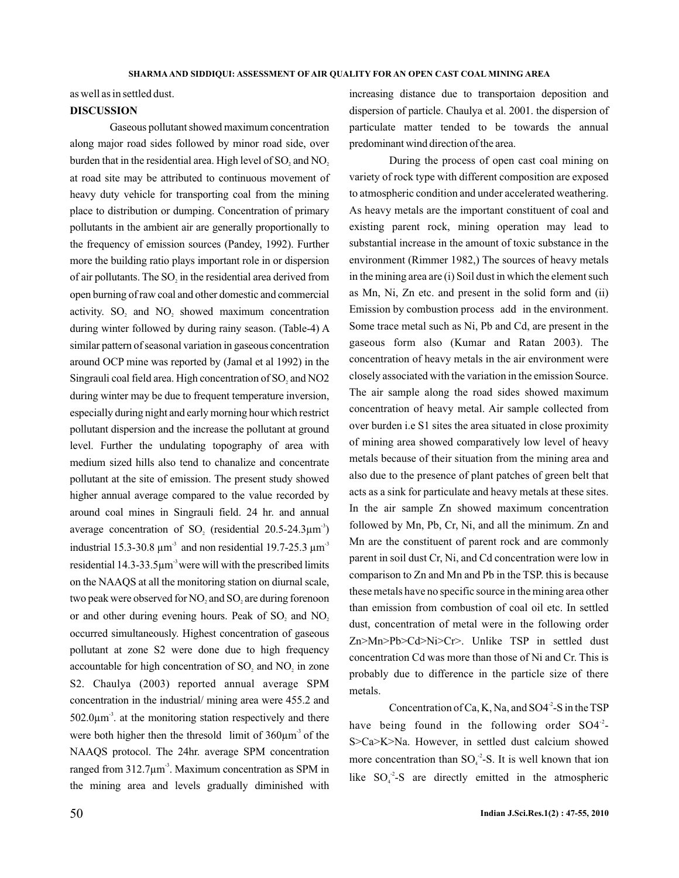as well as in settled dust.

### **DISCUSSION**

Gaseous pollutant showed maximum concentration along major road sides followed by minor road side, over burden that in the residential area. High level of SO $_2$  and NO $_2$ at road site may be attributed to continuous movement of heavy duty vehicle for transporting coal from the mining place to distribution or dumping. Concentration of primary pollutants in the ambient air are generally proportionally to the frequency of emission sources (Pandey, 1992). Further more the building ratio plays important role in or dispersion of air pollutants. The  $SO_2$  in the residential area derived from open burning of raw coal and other domestic and commercial activity.  $SO_2$  and  $NO_2$  showed maximum concentration during winter followed by during rainy season. (Table-4) A similar pattern of seasonal variation in gaseous concentration around OCP mine was reported by (Jamal et al 1992) in the Singrauli coal field area. High concentration of  $SO_2$  and  $NO2$ during winter may be due to frequent temperature inversion, especially during night and early morning hour which restrict pollutant dispersion and the increase the pollutant at ground level. Further the undulating topography of area with medium sized hills also tend to chanalize and concentrate pollutant at the site of emission. The present study showed higher annual average compared to the value recorded by around coal mines in Singrauli field. 24 hr. and annual average concentration of SO<sub>2</sub> (residential  $20.5$ -24.3 $\mu$ m<sup>-3</sup>) industrial 15.3-30.8  $\mu$ m<sup>-3</sup> and non residential 19.7-25.3  $\mu$ m<sup>-3</sup> residential  $14.3 - 33.5 \mu m<sup>3</sup>$  were will with the prescribed limits on the NAAQS at all the monitoring station on diurnal scale, two peak were observed for  $NO_2$  and  $SO_2$  are during forenoon or and other during evening hours. Peak of  $SO_2$  and  $NO_2$ occurred simultaneously. Highest concentration of gaseous pollutant at zone S2 were done due to high frequency accountable for high concentration of  $SO_2$  and  $NO_2$  in zone S2. Chaulya (2003) reported annual average SPM concentration in the industrial/ mining area were 455.2 and  $502.0 \mu m<sup>3</sup>$ . at the monitoring station respectively and there were both higher then the thresold limit of  $360 \mu m^3$  of the NAAQS protocol. The 24hr. average SPM concentration ranged from  $312.7 \mu m<sup>3</sup>$ . Maximum concentration as SPM in the mining area and levels gradually diminished with

increasing distance due to transportaion deposition and dispersion of particle. Chaulya et al. 2001. the dispersion of particulate matter tended to be towards the annual predominant wind direction of the area.

During the process of open cast coal mining on variety of rock type with different composition are exposed to atmospheric condition and under accelerated weathering. As heavy metals are the important constituent of coal and existing parent rock, mining operation may lead to substantial increase in the amount of toxic substance in the environment (Rimmer 1982,) The sources of heavy metals in the mining area are (i) Soil dust in which the element such as Mn, Ni, Zn etc. and present in the solid form and (ii) Emission by combustion process add in the environment. Some trace metal such as Ni, Pb and Cd, are present in the gaseous form also (Kumar and Ratan 2003). The concentration of heavy metals in the air environment were closely associated with the variation in the emission Source. The air sample along the road sides showed maximum concentration of heavy metal. Air sample collected from over burden i.e S1 sites the area situated in close proximity of mining area showed comparatively low level of heavy metals because of their situation from the mining area and also due to the presence of plant patches of green belt that acts as a sink for particulate and heavy metals at these sites. In the air sample Zn showed maximum concentration followed by Mn, Pb, Cr, Ni, and all the minimum. Zn and Mn are the constituent of parent rock and are commonly parent in soil dust Cr, Ni, and Cd concentration were low in comparison to Zn and Mn and Pb in the TSP. this is because these metals have no specific source in the mining area other than emission from combustion of coal oil etc. In settled dust, concentration of metal were in the following order Zn>Mn>Pb>Cd>Ni>Cr>. Unlike TSP in settled dust concentration Cd was more than those of Ni and Cr. This is probably due to difference in the particle size of there metals.

Concentration of Ca, K, Na, and  $SO4^{-2}$ -S in the TSP have being found in the following order  $SO4<sup>-2</sup>$ -S>Ca>K>Na. However, in settled dust calcium showed more concentration than  $SO_4^2$ -S. It is well known that ion like  $SO_4^2$ -S are directly emitted in the atmospheric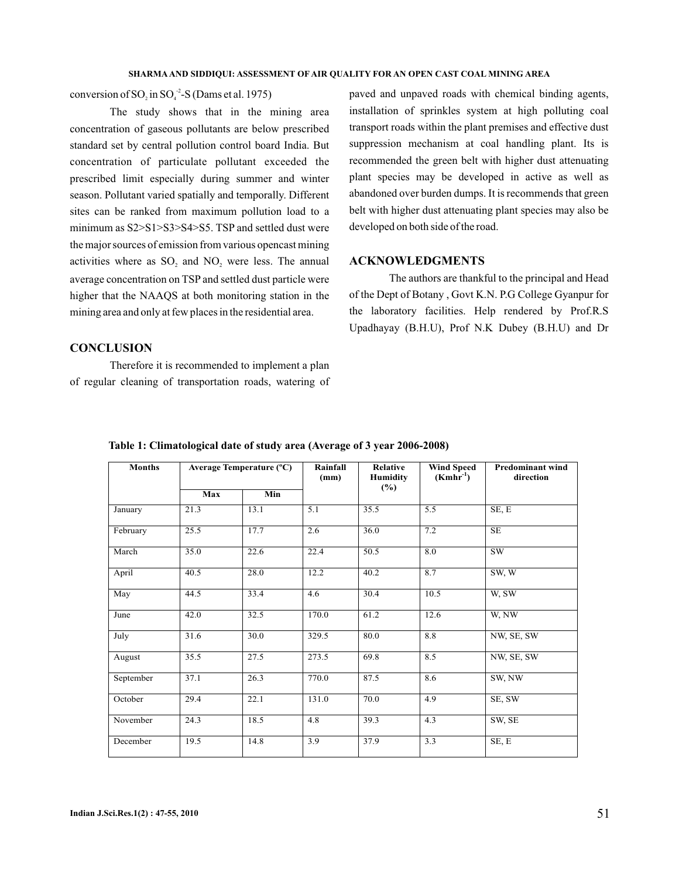conversion of SO<sub>2</sub> in SO<sub>4</sub><sup>-2</sup>-S (Dams et al. 1975)

The study shows that in the mining area concentration of gaseous pollutants are below prescribed standard set by central pollution control board India. But concentration of particulate pollutant exceeded the prescribed limit especially during summer and winter season. Pollutant varied spatially and temporally. Different sites can be ranked from maximum pollution load to a minimum as S2>S1>S3>S4>S5. TSP and settled dust were the major sources of emission from various opencast mining activities where as  $SO_2$  and  $NO_2$  were less. The annual average concentration on TSP and settled dust particle were higher that the NAAQS at both monitoring station in the mining area and only at few places in the residential area.

installation of sprinkles system at high polluting coal transport roads within the plant premises and effective dust suppression mechanism at coal handling plant. Its is recommended the green belt with higher dust attenuating plant species may be developed in active as well as abandoned over burden dumps. It is recommends that green belt with higher dust attenuating plant species may also be developed on both side of the road.

paved and unpaved roads with chemical binding agents,

### **ACKNOWLEDGMENTS**

The authors are thankful to the principal and Head of the Dept of Botany , Govt K.N. P.G College Gyanpur for the laboratory facilities. Help rendered by Prof.R.S Upadhayay (B.H.U), Prof N.K Dubey (B.H.U) and Dr

# **CONCLUSION**

Therefore it is recommended to implement a plan of regular cleaning of transportation roads, watering of

| <b>Months</b> |      | Average Temperature (°C) |       | <b>Relative</b><br><b>Humidity</b><br>$(\%)$ | <b>Wind Speed</b><br>$(Kmhr^{-1})$ | <b>Predominant wind</b><br>direction |
|---------------|------|--------------------------|-------|----------------------------------------------|------------------------------------|--------------------------------------|
|               | Max  | Min                      |       |                                              |                                    |                                      |
| January       | 21.3 | 13.1                     | 5.1   | 35.5                                         | 5.5                                | SE, E                                |
| February      | 25.5 | 17.7                     | 2.6   | 36.0                                         | 7.2                                | <b>SE</b>                            |
| March         | 35.0 | 22.6                     | 22.4  | 50.5                                         | 8.0                                | $\overline{\text{SW}}$               |
| April         | 40.5 | 28.0                     | 12.2  | 40.2                                         | 8.7                                | SW, W                                |
| May           | 44.5 | 33.4                     | 4.6   | 30.4                                         | 10.5                               | W, SW                                |
| June          | 42.0 | 32.5                     | 170.0 | 61.2                                         | 12.6                               | W, NW                                |
| July          | 31.6 | 30.0                     | 329.5 | 80.0                                         | 8.8                                | NW, SE, SW                           |
| August        | 35.5 | 27.5                     | 273.5 | 69.8                                         | 8.5                                | NW, SE, SW                           |
| September     | 37.1 | 26.3                     | 770.0 | 87.5                                         | 8.6                                | SW, NW                               |
| October       | 29.4 | 22.1                     | 131.0 | 70.0                                         | 4.9                                | SE, SW                               |
| November      | 24.3 | 18.5                     | 4.8   | 39.3                                         | 4.3                                | SW, SE                               |
| December      | 19.5 | 14.8                     | 3.9   | 37.9                                         | 3.3                                | SE, E                                |

#### **Table 1: Climatological date of study area (Average of 3 year 2006-2008)**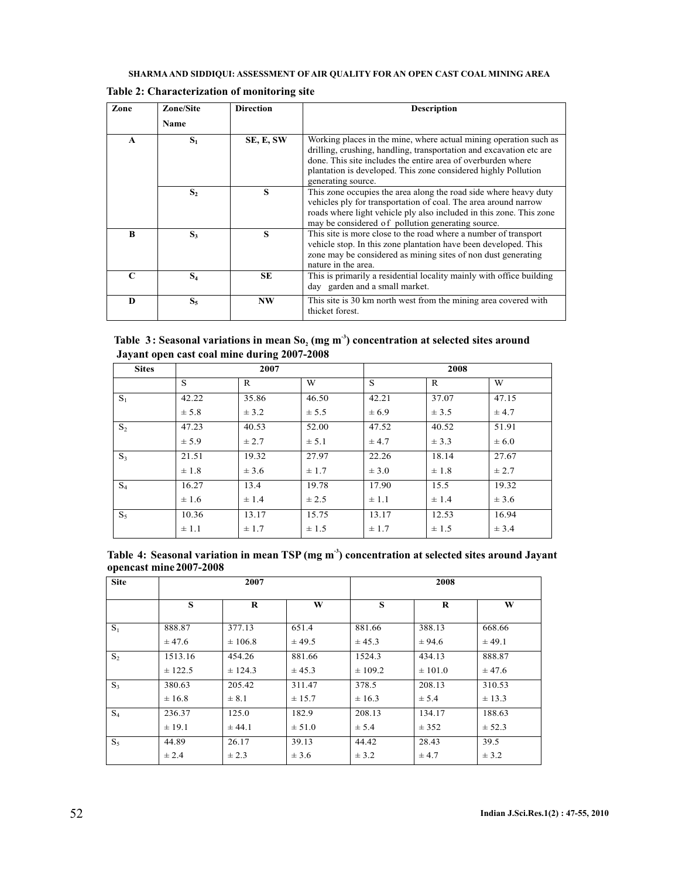| Zone         | Zone/Site      | <b>Direction</b> | <b>Description</b>                                                                                                                                                                                                                                                                               |
|--------------|----------------|------------------|--------------------------------------------------------------------------------------------------------------------------------------------------------------------------------------------------------------------------------------------------------------------------------------------------|
|              | Name           |                  |                                                                                                                                                                                                                                                                                                  |
| $\mathbf{A}$ | $S_1$          | SE, E, SW        | Working places in the mine, where actual mining operation such as<br>drilling, crushing, handling, transportation and excavation etc are<br>done. This site includes the entire area of overburden where<br>plantation is developed. This zone considered highly Pollution<br>generating source. |
|              | S <sub>2</sub> | S                | This zone occupies the area along the road side where heavy duty<br>vehicles ply for transportation of coal. The area around narrow<br>roads where light vehicle ply also included in this zone. This zone<br>may be considered of pollution generating source.                                  |
| B            | $S_3$          | S                | This site is more close to the road where a number of transport<br>vehicle stop. In this zone plantation have been developed. This<br>zone may be considered as mining sites of non dust generating<br>nature in the area.                                                                       |
| C            | $S_4$          | SE               | This is primarily a residential locality mainly with office building<br>day garden and a small market.                                                                                                                                                                                           |
| D            | $S_5$          | NW               | This site is 30 km north west from the mining area covered with<br>thicket forest.                                                                                                                                                                                                               |

|  | Table 2: Characterization of monitoring site |  |  |  |
|--|----------------------------------------------|--|--|--|
|--|----------------------------------------------|--|--|--|

| Table 3: Seasonal variations in mean So <sub>2</sub> (mg m <sup>3</sup> ) concentration at selected sites around |
|------------------------------------------------------------------------------------------------------------------|
| Jayant open cast coal mine during 2007-2008                                                                      |

| <b>Sites</b>   |           | 2007      |           |           | 2008      |           |
|----------------|-----------|-----------|-----------|-----------|-----------|-----------|
|                | S         | R         | W         | S         | R         | W         |
| $S_1$          | 42.22     | 35.86     | 46.50     | 42.21     | 37.07     | 47.15     |
|                | ± 5.8     | ± 3.2     | ± 5.5     | ± 6.9     | $\pm$ 3.5 | ± 4.7     |
| $S_2$          | 47.23     | 40.53     | 52.00     | 47.52     | 40.52     | 51.91     |
|                | ± 5.9     | ± 2.7     | ± 5.1     | ± 4.7     | $\pm$ 3.3 | $\pm 6.0$ |
| $S_3$          | 21.51     | 19.32     | 27.97     | 22.26     | 18.14     | 27.67     |
|                | ±1.8      | ± 3.6     | $\pm 1.7$ | ± 3.0     | ±1.8      | ± 2.7     |
| $\mathrm{S}_4$ | 16.27     | 13.4      | 19.78     | 17.90     | 15.5      | 19.32     |
|                | ±1.6      | ± 1.4     | ± 2.5     | $\pm$ 1.1 | ± 1.4     | ± 3.6     |
| $S_5$          | 10.36     | 13.17     | 15.75     | 13.17     | 12.53     | 16.94     |
|                | $\pm$ 1.1 | $\pm 1.7$ | $\pm$ 1.5 | ± 1.7     | ± 1.5     | ± 3.4     |

| Table 4: Seasonal variation in mean TSP (mg m <sup>3</sup> ) concentration at selected sites around Jayant |  |
|------------------------------------------------------------------------------------------------------------|--|
| opencast mine 2007-2008                                                                                    |  |

| <b>Site</b> |            | 2007      |            |            | 2008        |           |  |  |
|-------------|------------|-----------|------------|------------|-------------|-----------|--|--|
|             | S          | $\bf R$   | W          | S          | $\bf R$     | W         |  |  |
| $S_1$       | 888.87     | 377.13    | 651.4      | 881.66     | 388.13      | 668.66    |  |  |
|             | ± 47.6     | ± 106.8   | ± 49.5     | ± 45.3     | ± 94.6      | ± 49.1    |  |  |
| $S_2$       | 1513.16    | 454.26    | 881.66     | 1524.3     | 434.13      | 888.87    |  |  |
|             | ± 122.5    | ± 124.3   | $\pm$ 45.3 | ± 109.2    | $\pm 101.0$ | ± 47.6    |  |  |
| $S_3$       | 380.63     | 205.42    | 311.47     | 378.5      | 208.13      | 310.53    |  |  |
|             | ± 16.8     | $\pm 8.1$ | ± 15.7     | $\pm 16.3$ | ± 5.4       | ± 13.3    |  |  |
| $S_4$       | 236.37     | 125.0     | 182.9      | 208.13     | 134.17      | 188.63    |  |  |
|             | $\pm$ 19.1 | ± 44.1    | $\pm$ 51.0 | ± 5.4      | ± 352       | ± 52.3    |  |  |
| $S_5$       | 44.89      | 26.17     | 39.13      | 44.42      | 28.43       | 39.5      |  |  |
|             | ± 2.4      | $\pm 2.3$ | ± 3.6      | $\pm$ 3.2  | ± 4.7       | $\pm$ 3.2 |  |  |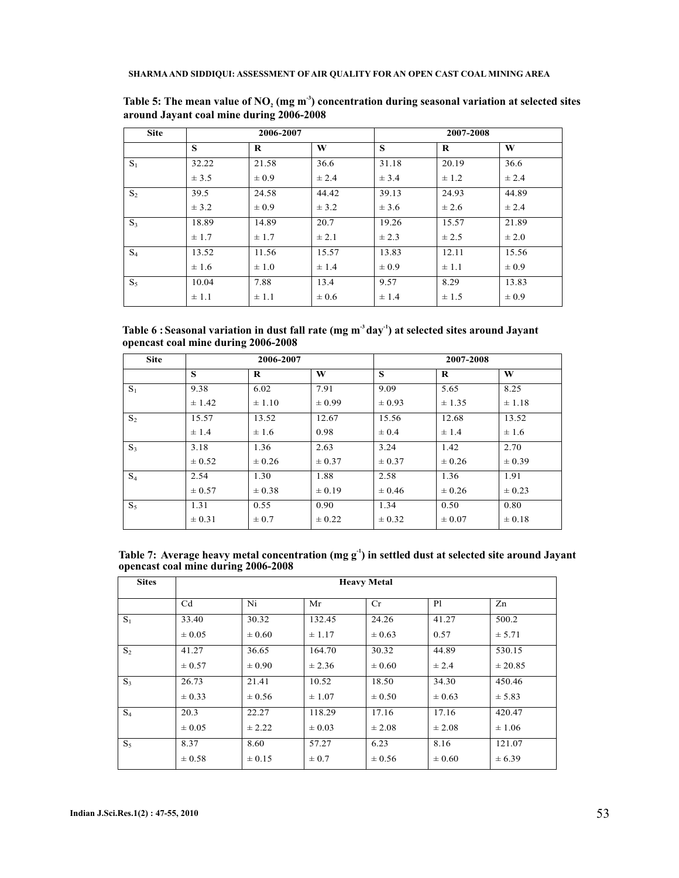| <b>Site</b> |           | 2006-2007 |           |           | 2007-2008 |           |
|-------------|-----------|-----------|-----------|-----------|-----------|-----------|
|             | S         | R         | W         | S         | $\bf{R}$  | W         |
| $S_1$       | 32.22     | 21.58     | 36.6      | 31.18     | 20.19     | 36.6      |
|             | ± 3.5     | $\pm 0.9$ | ± 2.4     | ± 3.4     | $\pm$ 1.2 | ± 2.4     |
| $S_2$       | 39.5      | 24.58     | 44.42     | 39.13     | 24.93     | 44.89     |
|             | ± 3.2     | $\pm 0.9$ | ± 3.2     | ± 3.6     | $\pm 2.6$ | ± 2.4     |
| $S_3$       | 18.89     | 14.89     | 20.7      | 19.26     | 15.57     | 21.89     |
|             | ± 1.7     | $\pm 1.7$ | $\pm 2.1$ | $\pm 2.3$ | ± 2.5     | $\pm 2.0$ |
| $S_4$       | 13.52     | 11.56     | 15.57     | 13.83     | 12.11     | 15.56     |
|             | ±1.6      | $\pm 1.0$ | $\pm$ 1.4 | $\pm 0.9$ | $\pm$ 1.1 | $\pm 0.9$ |
| $S_5$       | 10.04     | 7.88      | 13.4      | 9.57      | 8.29      | 13.83     |
|             | $\pm 1.1$ | $\pm$ 1.1 | $\pm 0.6$ | ± 1.4     | $\pm$ 1.5 | $\pm 0.9$ |

Table 5: The mean value of NO<sub>2</sub> (mg m $^3$ ) concentration during seasonal variation at selected sites **around Jayant coal mine during 2006-2008**

Table **6** : Seasonal variation in dust fall rate (mg m $^3$ day $^1$ ) at selected sites around Jayant **opencast coal mine during 2006-2008**  $-3$  **a**  $-1$ 

| <b>Site</b> | 2006-2007  |            |            | 2007-2008  |            |            |  |
|-------------|------------|------------|------------|------------|------------|------------|--|
|             | S          | R          | W          | S          | $\bf{R}$   | W          |  |
| $S_1$       | 9.38       | 6.02       | 7.91       | 9.09       | 5.65       | 8.25       |  |
|             | $\pm$ 1.42 | $\pm$ 1.10 | $\pm 0.99$ | $\pm 0.93$ | ± 1.35     | $\pm$ 1.18 |  |
| $S_2$       | 15.57      | 13.52      | 12.67      | 15.56      | 12.68      | 13.52      |  |
|             | $\pm$ 1.4  | $\pm 1.6$  | 0.98       | $\pm 0.4$  | ± 1.4      | $\pm 1.6$  |  |
| $S_3$       | 3.18       | 1.36       | 2.63       | 3.24       | 1.42       | 2.70       |  |
|             | $\pm 0.52$ | $\pm 0.26$ | $\pm 0.37$ | $\pm 0.37$ | $\pm 0.26$ | $\pm 0.39$ |  |
| $S_4$       | 2.54       | 1.30       | 1.88       | 2.58       | 1.36       | 1.91       |  |
|             | $\pm 0.57$ | $\pm 0.38$ | $\pm 0.19$ | $\pm 0.46$ | $\pm 0.26$ | $\pm$ 0.23 |  |
| $S_5$       | 1.31       | 0.55       | 0.90       | 1.34       | 0.50       | 0.80       |  |
|             | $\pm 0.31$ | $\pm 0.7$  | $\pm$ 0.22 | $\pm$ 0.32 | $\pm 0.07$ | $\pm 0.18$ |  |

|                                     | Table 7: Average heavy metal concentration $(mg g-1)$ in settled dust at selected site around Jayant |
|-------------------------------------|------------------------------------------------------------------------------------------------------|
| opencast coal mine during 2006-2008 |                                                                                                      |

| <b>Sites</b>   | <b>Heavy Metal</b> |            |            |            |            |         |  |
|----------------|--------------------|------------|------------|------------|------------|---------|--|
|                | C <sub>d</sub>     | Ni         | Mr         | Cr         | P1         | Zn      |  |
| $S_1$          | 33.40              | 30.32      | 132.45     | 24.26      | 41.27      | 500.2   |  |
|                | $\pm 0.05$         | $\pm 0.60$ | ± 1.17     | $\pm 0.63$ | 0.57       | ± 5.71  |  |
| $S_2$          | 41.27              | 36.65      | 164.70     | 30.32      | 44.89      | 530.15  |  |
|                | $\pm 0.57$         | $\pm 0.90$ | ± 2.36     | $\pm 0.60$ | ± 2.4      | ± 20.85 |  |
| S <sub>3</sub> | 26.73              | 21.41      | 10.52      | 18.50      | 34.30      | 450.46  |  |
|                | $\pm 0.33$         | $\pm 0.56$ | $\pm 1.07$ | $\pm 0.50$ | $\pm 0.63$ | ± 5.83  |  |
| $S_4$          | 20.3               | 22.27      | 118.29     | 17.16      | 17.16      | 420.47  |  |
|                | $\pm 0.05$         | ± 2.22     | $\pm 0.03$ | $\pm 2.08$ | $\pm 2.08$ | ± 1.06  |  |
| $S_5$          | 8.37               | 8.60       | 57.27      | 6.23       | 8.16       | 121.07  |  |
|                | $\pm 0.58$         | $\pm$ 0.15 | $\pm 0.7$  | $\pm 0.56$ | $\pm 0.60$ | ± 6.39  |  |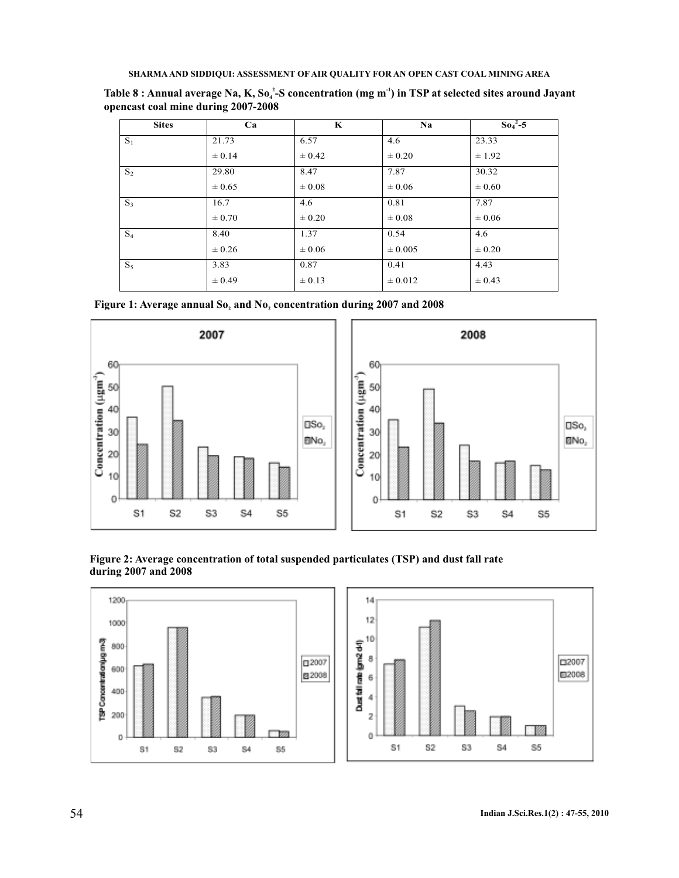|                                     | Table 8 : Annual average Na, K, So <sub>4</sub> <sup>2</sup> -S concentration (mg m <sup>-1</sup> ) in TSP at selected sites around Jayant |  |
|-------------------------------------|--------------------------------------------------------------------------------------------------------------------------------------------|--|
| opencast coal mine during 2007-2008 |                                                                                                                                            |  |

| <b>Sites</b> | Ca         | K          | Na          | $So42-5$   |
|--------------|------------|------------|-------------|------------|
| $S_1$        | 21.73      | 6.57       | 4.6         | 23.33      |
|              | $\pm 0.14$ | $\pm 0.42$ | $\pm 0.20$  | $\pm$ 1.92 |
| $S_2$        | 29.80      | 8.47       | 7.87        | 30.32      |
|              | $\pm 0.65$ | $\pm 0.08$ | $\pm 0.06$  | $\pm 0.60$ |
| $S_3$        | 16.7       | 4.6        | 0.81        | 7.87       |
|              | $\pm 0.70$ | $\pm 0.20$ | $\pm 0.08$  | $\pm 0.06$ |
| $S_4$        | 8.40       | 1.37       | 0.54        | 4.6        |
|              | $\pm 0.26$ | $\pm 0.06$ | $\pm 0.005$ | $\pm 0.20$ |
| $S_5$        | 3.83       | 0.87       | 0.41        | 4.43       |
|              | $\pm 0.49$ | $\pm 0.13$ | ± 0.012     | $\pm 0.43$ |

|  |  | Figure 1: Average annual So, and No, concentration during 2007 and 2008 |  |
|--|--|-------------------------------------------------------------------------|--|
|--|--|-------------------------------------------------------------------------|--|



## **Figure 2: Average concentration of total suspended particulates (TSP) and dust fall rate during 2007 and 2008**